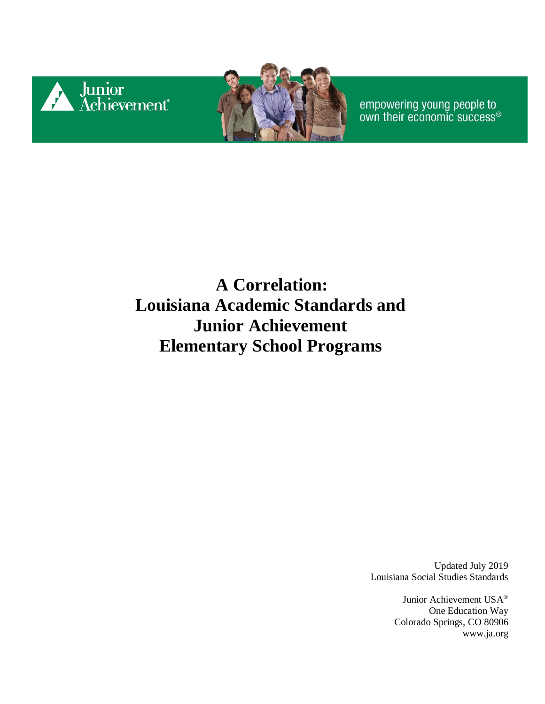



empowering young people to<br>own their economic success®

#### **A Correlation: Louisiana Academic Standards and Junior Achievement Elementary School Programs**

Updated July 2019 Louisiana Social Studies Standards

> Junior Achievement USA® One Education Way Colorado Springs, CO 80906 [www.ja.org](http://www.ja.org/)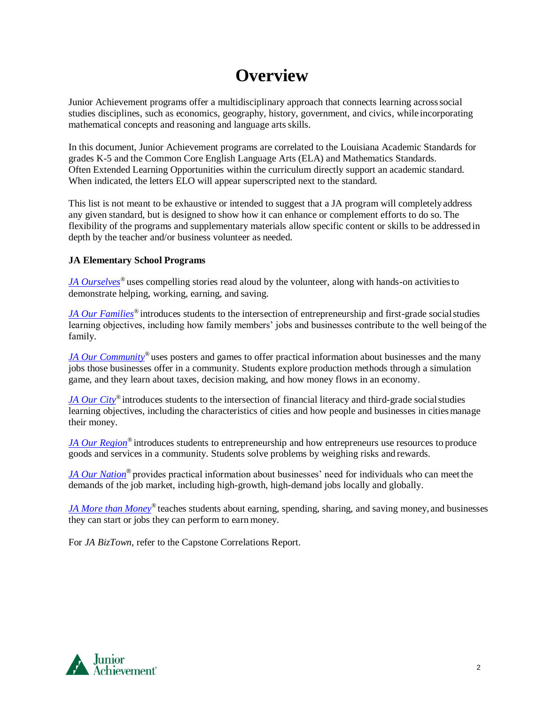#### **Overview**

Junior Achievement programs offer a multidisciplinary approach that connects learning acrosssocial studies disciplines, such as economics, geography, history, government, and civics, while incorporating mathematical concepts and reasoning and language arts skills.

In this document, Junior Achievement programs are correlated to the Louisiana Academic Standards for grades K-5 and the Common Core English Language Arts (ELA) and Mathematics Standards. Often Extended Learning Opportunities within the curriculum directly support an academic standard. When indicated, the letters ELO will appear superscripted next to the standard.

This list is not meant to be exhaustive or intended to suggest that a JA program will completelyaddress any given standard, but is designed to show how it can enhance or complement efforts to do so. The flexibility of the programs and supplementary materials allow specific content or skills to be addressed in depth by the teacher and/or business volunteer as needed.

#### **JA Elementary School Programs**

*[JA Ourselves](#page-2-0)®* uses compelling stories read aloud by the volunteer, along with hands-on activitiesto demonstrate helping, working, earning, and saving.

*[JA Our Families](#page-4-0)®* introduces students to the intersection of entrepreneurship and first-grade socialstudies learning objectives, including how family members' jobs and businesses contribute to the well beingof the family.

*[JA Our Community](#page-6-0)*<sup>®</sup> uses posters and games to offer practical information about businesses and the many jobs those businesses offer in a community. Students explore production methods through a simulation game, and they learn about taxes, decision making, and how money flows in an economy.

*[JA Our City](#page-8-0)*<sup>®</sup> introduces students to the intersection of financial literacy and third-grade social studies learning objectives, including the characteristics of cities and how people and businesses in citiesmanage their money.

*[JA Our Region](#page-10-0)*<sup>®</sup> introduces students to entrepreneurship and how entrepreneurs use resources to produce goods and services in a community. Students solve problems by weighing risks and rewards.

*[JA Our Nation](#page-13-0)®* provides practical information about businesses' need for individuals who can meet the demands of the job market, including high-growth, high-demand jobs locally and globally.

*[JA More than Money](#page-14-0)®* teaches students about earning, spending, sharing, and saving money, and businesses they can start or jobs they can perform to earn money.

For *JA BizTown*, refer to the Capstone Correlations Report.

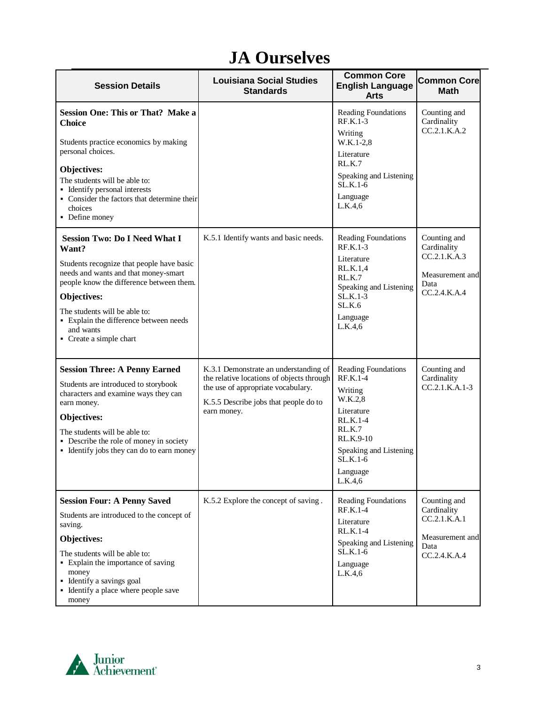## **JA Ourselves**

<span id="page-2-0"></span>

| <b>Session Details</b>                                                                                                                                                                                                                                                                                           | <b>Louisiana Social Studies</b><br><b>Standards</b>                                                                                                                              | <b>Common Core</b><br><b>English Language</b><br><b>Arts</b>                                                                                                        | <b>Common Core</b><br><b>Math</b>                                                       |
|------------------------------------------------------------------------------------------------------------------------------------------------------------------------------------------------------------------------------------------------------------------------------------------------------------------|----------------------------------------------------------------------------------------------------------------------------------------------------------------------------------|---------------------------------------------------------------------------------------------------------------------------------------------------------------------|-----------------------------------------------------------------------------------------|
| <b>Session One: This or That? Make a</b><br><b>Choice</b><br>Students practice economics by making<br>personal choices.<br>Objectives:<br>The students will be able to:<br>• Identify personal interests<br>• Consider the factors that determine their<br>choices<br>• Define money                             |                                                                                                                                                                                  | <b>Reading Foundations</b><br>RF.K.1-3<br>Writing<br>W.K.1-2,8<br>Literature<br><b>RL.K.7</b><br>Speaking and Listening<br>$SLK.1-6$<br>Language<br>L.K.4,6         | Counting and<br>Cardinality<br>CC.2.1.K.A.2                                             |
| <b>Session Two: Do I Need What I</b><br>Want?<br>Students recognize that people have basic<br>needs and wants and that money-smart<br>people know the difference between them.<br>Objectives:<br>The students will be able to:<br>• Explain the difference between needs<br>and wants<br>• Create a simple chart | K.5.1 Identify wants and basic needs.                                                                                                                                            | Reading Foundations<br>RF.K.1-3<br>Literature<br>RL.K.1,4<br>RL.K.7<br>Speaking and Listening<br>$SLK.1-3$<br>SL.K.6<br>Language<br>L.K.4,6                         | Counting and<br>Cardinality<br>CC.2.1.K.A.3<br>Measurement and<br>Data<br>CC.2.4. K.A.4 |
| <b>Session Three: A Penny Earned</b><br>Students are introduced to storybook<br>characters and examine ways they can<br>earn money.<br>Objectives:<br>The students will be able to:<br>• Describe the role of money in society<br>• Identify jobs they can do to earn money                                      | K.3.1 Demonstrate an understanding of<br>the relative locations of objects through<br>the use of appropriate vocabulary.<br>K.5.5 Describe jobs that people do to<br>earn money. | Reading Foundations<br>RF.K.1-4<br>Writing<br>W.K.2,8<br>Literature<br>RL.K.1-4<br>RL.K.7<br>RL.K.9-10<br>Speaking and Listening<br>SL.K.1-6<br>Language<br>L.K.4,6 | Counting and<br>Cardinality<br>CC.2.1.K.A.1-3                                           |
| <b>Session Four: A Penny Saved</b><br>Students are introduced to the concept of<br>saving.<br>Objectives:<br>The students will be able to:<br>• Explain the importance of saving<br>money<br>· Identify a savings goal<br>• Identify a place where people save<br>money                                          | K.5.2 Explore the concept of saving.                                                                                                                                             | <b>Reading Foundations</b><br>RF.K.1-4<br>Literature<br>RL.K.1-4<br>Speaking and Listening<br>$SL.K.1-6$<br>Language<br>L.K.4,6                                     | Counting and<br>Cardinality<br>CC.2.1.K.A.1<br>Measurement and<br>Data<br>CC.2.4.K.A.4  |

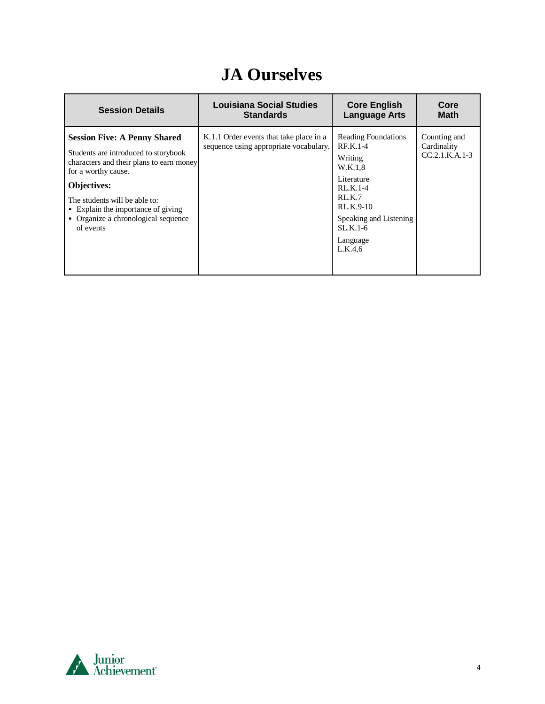#### **JA Ourselves**

| <b>Session Details</b>                                                                                                                                                                                                                                                                          | <b>Louisiana Social Studies</b>                                                   | <b>Core English</b>                                                                                                                                                            | Core                                            |
|-------------------------------------------------------------------------------------------------------------------------------------------------------------------------------------------------------------------------------------------------------------------------------------------------|-----------------------------------------------------------------------------------|--------------------------------------------------------------------------------------------------------------------------------------------------------------------------------|-------------------------------------------------|
|                                                                                                                                                                                                                                                                                                 | <b>Standards</b>                                                                  | <b>Language Arts</b>                                                                                                                                                           | <b>Math</b>                                     |
| <b>Session Five: A Penny Shared</b><br>Students are introduced to storybook<br>characters and their plans to earn money<br>for a worthy cause.<br><b>Objectives:</b><br>The students will be able to:<br>• Explain the importance of giving<br>• Organize a chronological sequence<br>of events | K.1.1 Order events that take place in a<br>sequence using appropriate vocabulary. | <b>Reading Foundations</b><br>$RF K.1-4$<br>Writing<br>W.K.1,8<br>Literature<br>$RLK.1-4$<br>RLK.7<br>$RLK.9-10$<br>Speaking and Listening<br>$SLK.1-6$<br>Language<br>L.K.4.6 | Counting and<br>Cardinality<br>$CC.2.1.K.A.1-3$ |

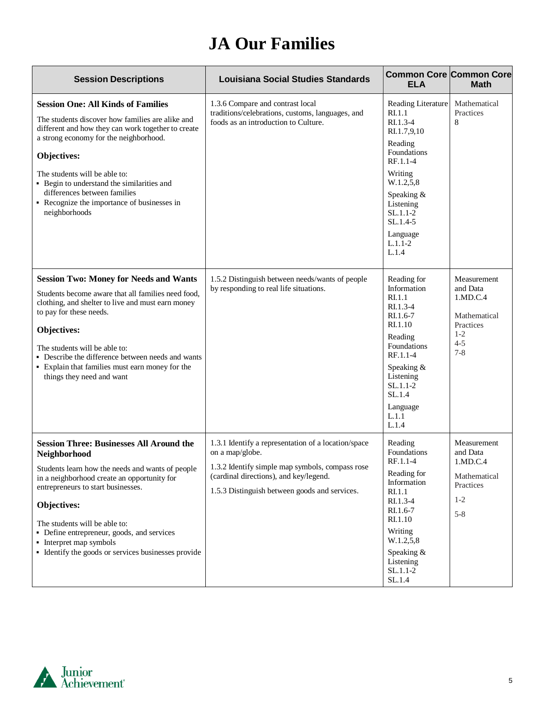## **JA Our Families**

<span id="page-4-0"></span>

| <b>Session Descriptions</b>                                                                                                                                                                                                                                                                                                                                                                 | <b>Louisiana Social Studies Standards</b>                                                                                                                                                                            | <b>Common Core Common Core</b><br><b>ELA</b>                                                                                                                                                                    | <b>Math</b>                                                                                       |
|---------------------------------------------------------------------------------------------------------------------------------------------------------------------------------------------------------------------------------------------------------------------------------------------------------------------------------------------------------------------------------------------|----------------------------------------------------------------------------------------------------------------------------------------------------------------------------------------------------------------------|-----------------------------------------------------------------------------------------------------------------------------------------------------------------------------------------------------------------|---------------------------------------------------------------------------------------------------|
| <b>Session One: All Kinds of Families</b><br>The students discover how families are alike and<br>different and how they can work together to create<br>a strong economy for the neighborhood.<br>Objectives:<br>The students will be able to:<br>• Begin to understand the similarities and<br>differences between families<br>• Recognize the importance of businesses in<br>neighborhoods | 1.3.6 Compare and contrast local<br>traditions/celebrations, customs, languages, and<br>foods as an introduction to Culture.                                                                                         | Reading Literature<br>RL1.1<br>RI.1.3-4<br>RI.1.7,9,10<br>Reading<br>Foundations<br>$RF.1.1-4$<br>Writing<br>W.1.2,5,8<br>Speaking &<br>Listening<br>$SL.1.1-2$<br>$SL.1.4-5$<br>Language<br>$L.1.1-2$<br>L.1.4 | Mathematical<br>Practices<br>8                                                                    |
| <b>Session Two: Money for Needs and Wants</b><br>Students become aware that all families need food,<br>clothing, and shelter to live and must earn money<br>to pay for these needs.<br>Objectives:<br>The students will be able to:<br>• Describe the difference between needs and wants<br>• Explain that families must earn money for the<br>things they need and want                    | 1.5.2 Distinguish between needs/wants of people<br>by responding to real life situations.                                                                                                                            | Reading for<br>Information<br>RL1.1<br>RI.1.3-4<br>$RL.1.6-7$<br>RI.1.10<br>Reading<br>Foundations<br>$RF.1.1-4$<br>Speaking $&$<br>Listening<br>$SL.1.1-2$<br>SL.1.4<br>Language<br>L.1.1<br>L.1.4             | Measurement<br>and Data<br>1.MD.C.4<br>Mathematical<br>Practices<br>$1 - 2$<br>$4 - 5$<br>$7 - 8$ |
| <b>Session Three: Businesses All Around the</b><br>Neighborhood<br>Students learn how the needs and wants of people<br>in a neighborhood create an opportunity for<br>entrepreneurs to start businesses.<br>Objectives:<br>The students will be able to:<br>• Define entrepreneur, goods, and services<br>• Interpret map symbols<br>• Identify the goods or services businesses provide    | 1.3.1 Identify a representation of a location/space<br>on a map/globe.<br>1.3.2 Identify simple map symbols, compass rose<br>(cardinal directions), and key/legend.<br>1.5.3 Distinguish between goods and services. | Reading<br>Foundations<br>RF.1.1-4<br>Reading for<br>Information<br>RL1.1<br>RI.1.3-4<br>RI.1.6-7<br>RI.1.10<br>Writing<br>W.1.2,5,8<br>Speaking &<br>Listening<br>$SL.1.1-2$<br>SL.1.4                         | Measurement<br>and Data<br>1.MD.C.4<br>Mathematical<br>Practices<br>$1 - 2$<br>$5 - 8$            |

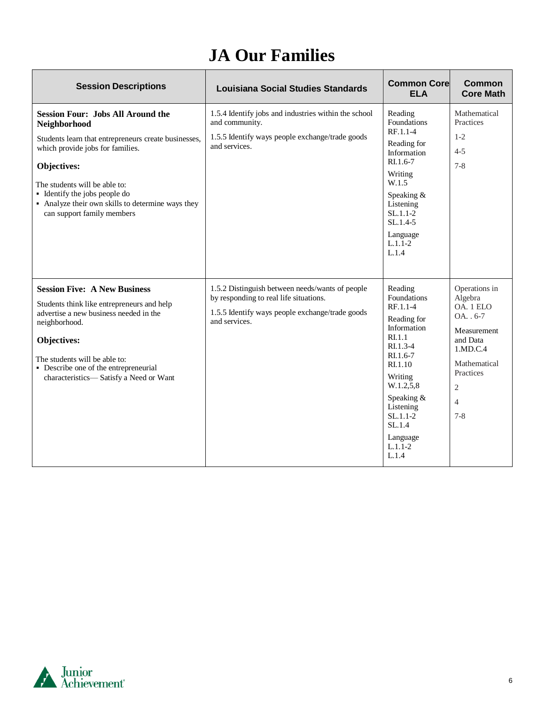## **JA Our Families**

| <b>Session Descriptions</b>                                                                                                                                                                                                                                                                                              | <b>Louisiana Social Studies Standards</b>                                                                                                                     | <b>Common Core</b><br><b>ELA</b>                                                                                                                                                                                             | <b>Common</b><br><b>Core Math</b>                                                                                                                                       |
|--------------------------------------------------------------------------------------------------------------------------------------------------------------------------------------------------------------------------------------------------------------------------------------------------------------------------|---------------------------------------------------------------------------------------------------------------------------------------------------------------|------------------------------------------------------------------------------------------------------------------------------------------------------------------------------------------------------------------------------|-------------------------------------------------------------------------------------------------------------------------------------------------------------------------|
| <b>Session Four: Jobs All Around the</b><br>Neighborhood<br>Students learn that entrepreneurs create businesses,<br>which provide jobs for families.<br>Objectives:<br>The students will be able to:<br>• Identify the jobs people do<br>• Analyze their own skills to determine ways they<br>can support family members | 1.5.4 Identify jobs and industries within the school<br>and community.<br>1.5.5 Identify ways people exchange/trade goods<br>and services.                    | Reading<br><b>Foundations</b><br>RF.1.1-4<br>Reading for<br>Information<br>$RL1.6-7$<br>Writing<br>W.1.5<br>Speaking &<br>Listening<br>$SL.1.1-2$<br>$SL.1.4-5$<br>Language<br>$L.1.1-2$<br>L.1.4                            | Mathematical<br>Practices<br>$1 - 2$<br>$4 - 5$<br>$7 - 8$                                                                                                              |
| <b>Session Five: A New Business</b><br>Students think like entrepreneurs and help<br>advertise a new business needed in the<br>neighborhood.<br>Objectives:<br>The students will be able to:<br>• Describe one of the entrepreneurial<br>characteristics-Satisfy a Need or Want                                          | 1.5.2 Distinguish between needs/wants of people<br>by responding to real life situations.<br>1.5.5 Identify ways people exchange/trade goods<br>and services. | Reading<br>Foundations<br>RF.1.1-4<br>Reading for<br>Information<br>RL1.1<br>$RL1.3-4$<br>RI.1.6-7<br>RI.1.10<br>Writing<br>W.1.2, 5, 8<br>Speaking &<br>Listening<br>$SL.1.1-2$<br>SL.1.4<br>Language<br>$L.1.1-2$<br>L.1.4 | Operations in<br>Algebra<br>OA. 1 ELO<br>$OA. . 6-7$<br>Measurement<br>and Data<br>1.MD.C.4<br>Mathematical<br>Practices<br>$\overline{2}$<br>$\overline{4}$<br>$7 - 8$ |

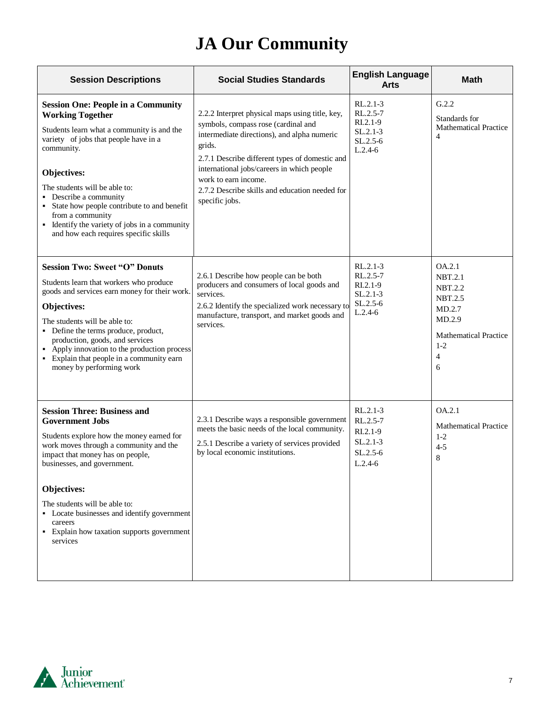## **JA Our Community**

<span id="page-6-0"></span>

| <b>Session Descriptions</b>                                                                                                                                                                                                                                                                                                                                                                                   | <b>Social Studies Standards</b>                                                                                                                                                                                                                                                                                                             | <b>English Language</b><br><b>Arts</b>                                      | <b>Math</b>                                                                                                                           |
|---------------------------------------------------------------------------------------------------------------------------------------------------------------------------------------------------------------------------------------------------------------------------------------------------------------------------------------------------------------------------------------------------------------|---------------------------------------------------------------------------------------------------------------------------------------------------------------------------------------------------------------------------------------------------------------------------------------------------------------------------------------------|-----------------------------------------------------------------------------|---------------------------------------------------------------------------------------------------------------------------------------|
| <b>Session One: People in a Community</b><br><b>Working Together</b><br>Students learn what a community is and the<br>variety of jobs that people have in a<br>community.<br>Objectives:<br>The students will be able to:<br>Describe a community<br>State how people contribute to and benefit<br>from a community<br>• Identify the variety of jobs in a community<br>and how each requires specific skills | 2.2.2 Interpret physical maps using title, key,<br>symbols, compass rose (cardinal and<br>intermediate directions), and alpha numeric<br>grids.<br>2.7.1 Describe different types of domestic and<br>international jobs/careers in which people<br>work to earn income.<br>2.7.2 Describe skills and education needed for<br>specific jobs. | RL.2.1-3<br>RL.2.5-7<br>RI.2.1-9<br>$SL.2.1-3$<br>$SL.2.5-6$<br>$L.2.4-6$   | G.2.2<br>Standards for<br><b>Mathematical Practice</b><br>4                                                                           |
| <b>Session Two: Sweet "O" Donuts</b><br>Students learn that workers who produce<br>goods and services earn money for their work.<br>Objectives:<br>The students will be able to:<br>• Define the terms produce, product,<br>production, goods, and services<br>Apply innovation to the production process<br>Explain that people in a community earn<br>money by performing work                              | 2.6.1 Describe how people can be both<br>producers and consumers of local goods and<br>services.<br>2.6.2 Identify the specialized work necessary to<br>manufacture, transport, and market goods and<br>services.                                                                                                                           | RL.2.1-3<br>RL.2.5-7<br>$RL.2.1-9$<br>$SL.2.1-3$<br>$SL.2.5-6$<br>$L.2.4-6$ | OA.2.1<br><b>NBT.2.1</b><br><b>NBT.2.2</b><br><b>NBT.2.5</b><br>MD.2.7<br>MD.2.9<br><b>Mathematical Practice</b><br>$1 - 2$<br>4<br>6 |
| <b>Session Three: Business and</b><br><b>Government Jobs</b><br>Students explore how the money earned for<br>work moves through a community and the<br>impact that money has on people,<br>businesses, and government.<br>Objectives:<br>The students will be able to:<br>• Locate businesses and identify government<br>careers<br>• Explain how taxation supports government<br>services                    | 2.3.1 Describe ways a responsible government<br>meets the basic needs of the local community.<br>2.5.1 Describe a variety of services provided<br>by local economic institutions.                                                                                                                                                           | RL.2.1-3<br>RL.2.5-7<br>RI.2.1-9<br>$SL.2.1-3$<br>$SL.2.5-6$<br>$L.2.4-6$   | OA.2.1<br><b>Mathematical Practice</b><br>$1 - 2$<br>$4 - 5$<br>8                                                                     |

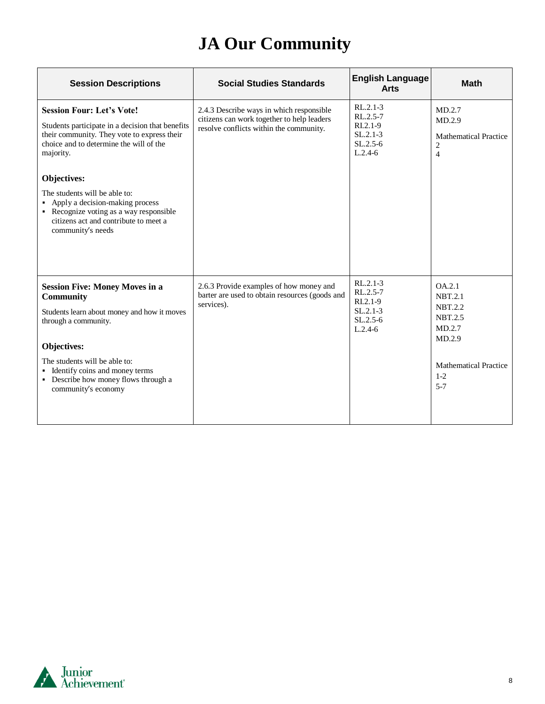## **JA Our Community**

| <b>Session Descriptions</b>                                                                                                                                                                                                                                                                                                                                                               | <b>Social Studies Standards</b>                                                                                                   | <b>English Language</b><br><b>Arts</b>                                          | <b>Math</b>                                                                                                                          |
|-------------------------------------------------------------------------------------------------------------------------------------------------------------------------------------------------------------------------------------------------------------------------------------------------------------------------------------------------------------------------------------------|-----------------------------------------------------------------------------------------------------------------------------------|---------------------------------------------------------------------------------|--------------------------------------------------------------------------------------------------------------------------------------|
| <b>Session Four: Let's Vote!</b><br>Students participate in a decision that benefits<br>their community. They vote to express their<br>choice and to determine the will of the<br>majority.<br>Objectives:<br>The students will be able to:<br>• Apply a decision-making process<br>• Recognize voting as a way responsible<br>citizens act and contribute to meet a<br>community's needs | 2.4.3 Describe ways in which responsible<br>citizens can work together to help leaders<br>resolve conflicts within the community. | $RL.2.1 - 3$<br>RL.2.5-7<br>$RL.2.1-9$<br>$SL.2.1-3$<br>$SL.2.5-6$<br>$L.2.4-6$ | MD.2.7<br>MD.2.9<br><b>Mathematical Practice</b><br>$\overline{2}$<br>$\overline{4}$                                                 |
| <b>Session Five: Money Moves in a</b><br><b>Community</b><br>Students learn about money and how it moves<br>through a community.<br>Objectives:<br>The students will be able to:<br>• Identify coins and money terms<br>• Describe how money flows through a<br>community's economy                                                                                                       | 2.6.3 Provide examples of how money and<br>barter are used to obtain resources (goods and<br>services).                           | RL.2.1-3<br>RL.2.5-7<br>$RL.2.1-9$<br>$SL.2.1-3$<br>$SL.2.5-6$<br>$L.2.4-6$     | OA.2.1<br><b>NBT.2.1</b><br><b>NBT.2.2</b><br><b>NBT.2.5</b><br>MD.2.7<br>MD.2.9<br><b>Mathematical Practice</b><br>$1-2$<br>$5 - 7$ |

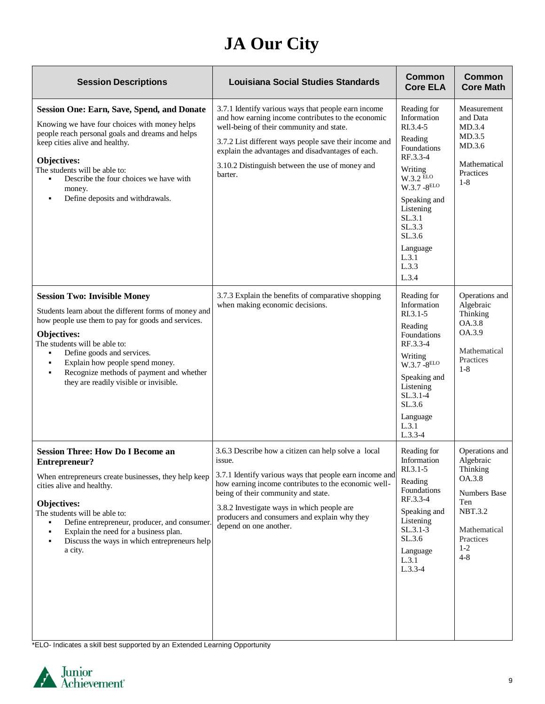## **JA Our City**

<span id="page-8-0"></span>

| <b>Session Descriptions</b>                                                                                                                                                                                                                                                                                                                                                           | <b>Louisiana Social Studies Standards</b>                                                                                                                                                                                                                                                                                                       | <b>Common</b><br><b>Core ELA</b>                                                                                                                                                                                         | <b>Common</b><br><b>Core Math</b>                                                                                                                  |
|---------------------------------------------------------------------------------------------------------------------------------------------------------------------------------------------------------------------------------------------------------------------------------------------------------------------------------------------------------------------------------------|-------------------------------------------------------------------------------------------------------------------------------------------------------------------------------------------------------------------------------------------------------------------------------------------------------------------------------------------------|--------------------------------------------------------------------------------------------------------------------------------------------------------------------------------------------------------------------------|----------------------------------------------------------------------------------------------------------------------------------------------------|
| <b>Session One: Earn, Save, Spend, and Donate</b><br>Knowing we have four choices with money helps<br>people reach personal goals and dreams and helps<br>keep cities alive and healthy.<br>Objectives:<br>The students will be able to:<br>Describe the four choices we have with<br>money.<br>Define deposits and withdrawals.<br>٠                                                 | 3.7.1 Identify various ways that people earn income<br>and how earning income contributes to the economic<br>well-being of their community and state.<br>3.7.2 List different ways people save their income and<br>explain the advantages and disadvantages of each.<br>3.10.2 Distinguish between the use of money and<br>barter.              | Reading for<br>Information<br>RI.3.4-5<br>Reading<br>Foundations<br>RF.3.3-4<br>Writing<br>$W.3.2$ ELO<br>W.3.7 - 8ELO<br>Speaking and<br>Listening<br>SL.3.1<br>SL.3.3<br>SL.3.6<br>Language<br>L.3.1<br>L.3.3<br>L.3.4 | Measurement<br>and Data<br>MD.3.4<br>MD.3.5<br>MD.3.6<br>Mathematical<br>Practices<br>$1-8$                                                        |
| <b>Session Two: Invisible Money</b><br>Students learn about the different forms of money and<br>how people use them to pay for goods and services.<br>Objectives:<br>The students will be able to:<br>Define goods and services.<br>$\blacksquare$<br>Explain how people spend money.<br>٠<br>Recognize methods of payment and whether<br>٠<br>they are readily visible or invisible. | 3.7.3 Explain the benefits of comparative shopping<br>when making economic decisions.                                                                                                                                                                                                                                                           | Reading for<br>Information<br>$RL.3.1-5$<br>Reading<br>Foundations<br>RF.3.3-4<br>Writing<br>$W.3.7 - 8^{ELO}$<br>Speaking and<br>Listening<br>$SL.3.1-4$<br>SL.3.6<br>Language<br>L.3.1<br>$L.3.3-4$                    | Operations and<br>Algebraic<br>Thinking<br>OA.3.8<br>OA.3.9<br>Mathematical<br>Practices<br>$1-8$                                                  |
| <b>Session Three: How Do I Become an</b><br>Entrepreneur?<br>When entrepreneurs create businesses, they help keep<br>cities alive and healthy.<br>Objectives:<br>The students will be able to:<br>Define entrepreneur, producer, and consumer.<br>Explain the need for a business plan.<br>Discuss the ways in which entrepreneurs help<br>a city.                                    | 3.6.3 Describe how a citizen can help solve a local<br>issue.<br>3.7.1 Identify various ways that people earn income and<br>how earning income contributes to the economic well-<br>being of their community and state.<br>3.8.2 Investigate ways in which people are<br>producers and consumers and explain why they<br>depend on one another. | Reading for<br>Information<br>RI.3.1-5<br>Reading<br>Foundations<br>RF.3.3-4<br>Speaking and<br>Listening<br>$SL.3.1-3$<br>SL.3.6<br>Language<br>L.3.1<br>$L.3.3-4$                                                      | Operations and<br>Algebraic<br>Thinking<br>OA.3.8<br><b>Numbers Base</b><br>Ten<br><b>NBT.3.2</b><br>Mathematical<br>Practices<br>$1-2$<br>$4 - 8$ |

\*ELO- Indicates a skill best supported by an Extended Learning Opportunity

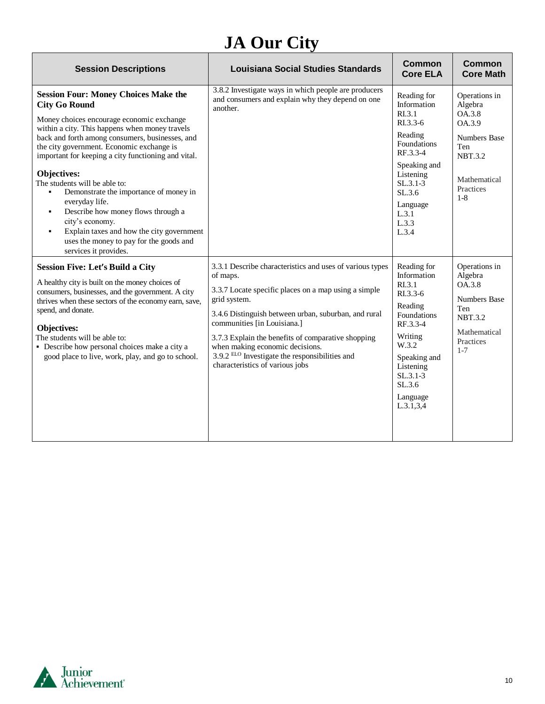## **JA Our City**

| <b>Session Descriptions</b>                                                                                                                                                                                                                                                                                                                                                                 | <b>Louisiana Social Studies Standards</b>                                                                                                                                                                                                                                                                                                                                                                           | Common<br><b>Core ELA</b>                                                                                                                                                                        | Common<br><b>Core Math</b>                                                                                                 |
|---------------------------------------------------------------------------------------------------------------------------------------------------------------------------------------------------------------------------------------------------------------------------------------------------------------------------------------------------------------------------------------------|---------------------------------------------------------------------------------------------------------------------------------------------------------------------------------------------------------------------------------------------------------------------------------------------------------------------------------------------------------------------------------------------------------------------|--------------------------------------------------------------------------------------------------------------------------------------------------------------------------------------------------|----------------------------------------------------------------------------------------------------------------------------|
| <b>Session Four: Money Choices Make the</b><br><b>City Go Round</b><br>Money choices encourage economic exchange                                                                                                                                                                                                                                                                            | 3.8.2 Investigate ways in which people are producers<br>and consumers and explain why they depend on one<br>another.                                                                                                                                                                                                                                                                                                | Reading for<br>Information<br>RI.3.1                                                                                                                                                             | Operations in<br>Algebra<br>OA.3.8                                                                                         |
| within a city. This happens when money travels<br>back and forth among consumers, businesses, and<br>the city government. Economic exchange is<br>important for keeping a city functioning and vital.                                                                                                                                                                                       |                                                                                                                                                                                                                                                                                                                                                                                                                     | RI.3.3-6<br>Reading<br>Foundations<br>RF.3.3-4                                                                                                                                                   | OA.3.9<br>Numbers Base<br>Ten<br><b>NBT.3.2</b>                                                                            |
| Objectives:<br>The students will be able to:<br>Demonstrate the importance of money in                                                                                                                                                                                                                                                                                                      |                                                                                                                                                                                                                                                                                                                                                                                                                     | Speaking and<br>Listening<br>$SL.3.1-3$<br>SL.3.6                                                                                                                                                | Mathematical<br>Practices<br>$1-8$                                                                                         |
| everyday life.<br>Describe how money flows through a<br>٠<br>city's economy.<br>Explain taxes and how the city government<br>$\blacksquare$<br>uses the money to pay for the goods and<br>services it provides.                                                                                                                                                                             |                                                                                                                                                                                                                                                                                                                                                                                                                     | Language<br>L.3.1<br>L.3.3<br>L.3.4                                                                                                                                                              |                                                                                                                            |
| <b>Session Five: Let's Build a City</b><br>A healthy city is built on the money choices of<br>consumers, businesses, and the government. A city<br>thrives when these sectors of the economy earn, save,<br>spend, and donate.<br><b>Objectives:</b><br>The students will be able to:<br>• Describe how personal choices make a city a<br>good place to live, work, play, and go to school. | 3.3.1 Describe characteristics and uses of various types<br>of maps.<br>3.3.7 Locate specific places on a map using a simple<br>grid system.<br>3.4.6 Distinguish between urban, suburban, and rural<br>communities [in Louisiana.]<br>3.7.3 Explain the benefits of comparative shopping<br>when making economic decisions.<br>$3.9.2$ ELO Investigate the responsibilities and<br>characteristics of various jobs | Reading for<br>Information<br>RI.3.1<br>RI.3.3-6<br>Reading<br><b>Foundations</b><br>RF.3.3-4<br>Writing<br>W.3.2<br>Speaking and<br>Listening<br>$SL.3.1-3$<br>SL.3.6<br>Language<br>L.3.1, 3.4 | Operations in<br>Algebra<br>OA.3.8<br><b>Numbers Base</b><br>Ten<br><b>NBT.3.2</b><br>Mathematical<br>Practices<br>$1 - 7$ |

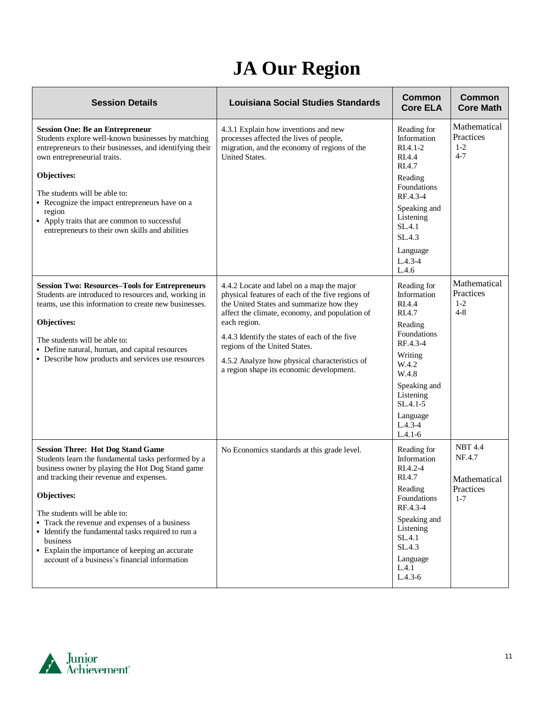# **JA Our Region**

<span id="page-10-0"></span>

| <b>Session Details</b>                                                                                                                                                                          | <b>Louisiana Social Studies Standards</b>                                                                                                                                                   | <b>Common</b><br><b>Core ELA</b>                            | <b>Common</b><br><b>Core Math</b>               |
|-------------------------------------------------------------------------------------------------------------------------------------------------------------------------------------------------|---------------------------------------------------------------------------------------------------------------------------------------------------------------------------------------------|-------------------------------------------------------------|-------------------------------------------------|
| <b>Session One: Be an Entrepreneur</b><br>Students explore well-known businesses by matching<br>entrepreneurs to their businesses, and identifying their<br>own entrepreneurial traits.         | 4.3.1 Explain how inventions and new<br>processes affected the lives of people,<br>migration, and the economy of regions of the<br><b>United States.</b>                                    | Reading for<br>Information<br>$RIA.1-2$<br>RI.4.4<br>RI.4.7 | Mathematical<br>Practices<br>$1 - 2$<br>$4 - 7$ |
| Objectives:<br>The students will be able to:                                                                                                                                                    |                                                                                                                                                                                             | Reading<br>Foundations<br>RF.4.3-4                          |                                                 |
| • Recognize the impact entrepreneurs have on a<br>region<br>• Apply traits that are common to successful<br>entrepreneurs to their own skills and abilities                                     |                                                                                                                                                                                             | Speaking and<br>Listening<br>SL.4.1<br>SL.4.3               |                                                 |
|                                                                                                                                                                                                 |                                                                                                                                                                                             | Language<br>$L.4.3 - 4$<br>L.4.6                            |                                                 |
| <b>Session Two: Resources-Tools for Entrepreneurs</b><br>Students are introduced to resources and, working in<br>teams, use this information to create new businesses.                          | 4.4.2 Locate and label on a map the major<br>physical features of each of the five regions of<br>the United States and summarize how they<br>affect the climate, economy, and population of | Reading for<br>Information<br>RI.4.4<br>RI.4.7              | Mathematical<br>Practices<br>$1 - 2$<br>$4 - 8$ |
| Objectives:                                                                                                                                                                                     | each region.                                                                                                                                                                                | Reading<br>Foundations                                      |                                                 |
| The students will be able to:<br>• Define natural, human, and capital resources                                                                                                                 | 4.4.3 Identify the states of each of the five<br>regions of the United States.                                                                                                              | RF.4.3-4                                                    |                                                 |
| • Describe how products and services use resources                                                                                                                                              | 4.5.2 Analyze how physical characteristics of<br>a region shape its economic development.                                                                                                   | Writing<br>W.4.2<br>W.4.8                                   |                                                 |
|                                                                                                                                                                                                 |                                                                                                                                                                                             | Speaking and<br>Listening<br>$SL.4.1 - 5$                   |                                                 |
|                                                                                                                                                                                                 |                                                                                                                                                                                             | Language<br>$L.4.3 - 4$<br>$L.4.1-6$                        |                                                 |
| <b>Session Three: Hot Dog Stand Game</b><br>Students learn the fundamental tasks performed by a<br>business owner by playing the Hot Dog Stand game<br>and tracking their revenue and expenses. | No Economics standards at this grade level.                                                                                                                                                 | Reading for<br>Information<br>RI.4.2-4<br>RI.4.7            | <b>NBT 4.4</b><br>NF.4.7<br>Mathematical        |
| Objectives:                                                                                                                                                                                     |                                                                                                                                                                                             | Reading<br>Foundations                                      | Practices<br>$1 - 7$                            |
| The students will be able to:                                                                                                                                                                   |                                                                                                                                                                                             | RF.4.3-4                                                    |                                                 |
| • Track the revenue and expenses of a business<br>• Identify the fundamental tasks required to run a<br>business<br>• Explain the importance of keeping an accurate                             |                                                                                                                                                                                             | Speaking and<br>Listening<br>SL.4.1<br>SL.4.3               |                                                 |
| account of a business's financial information                                                                                                                                                   |                                                                                                                                                                                             | Language<br>L.4.1<br>$L.4.3-6$                              |                                                 |

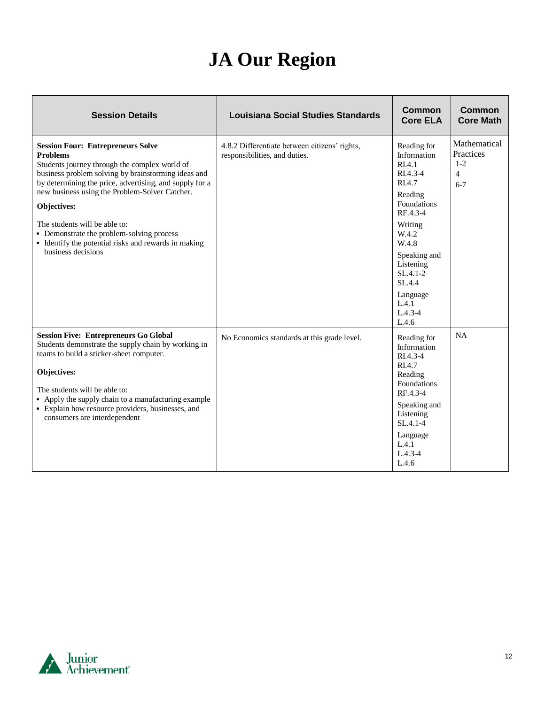# **JA Our Region**

| <b>Session Details</b>                                                                                                                                                                                                                                                                                                                                                                                                                                      | <b>Louisiana Social Studies Standards</b>                                      | Common<br><b>Core ELA</b>                                                                                                                                                                                                             | Common<br><b>Core Math</b>                                      |
|-------------------------------------------------------------------------------------------------------------------------------------------------------------------------------------------------------------------------------------------------------------------------------------------------------------------------------------------------------------------------------------------------------------------------------------------------------------|--------------------------------------------------------------------------------|---------------------------------------------------------------------------------------------------------------------------------------------------------------------------------------------------------------------------------------|-----------------------------------------------------------------|
| <b>Session Four: Entrepreneurs Solve</b><br><b>Problems</b><br>Students journey through the complex world of<br>business problem solving by brainstorming ideas and<br>by determining the price, advertising, and supply for a<br>new business using the Problem-Solver Catcher.<br>Objectives:<br>The students will be able to:<br>• Demonstrate the problem-solving process<br>• Identify the potential risks and rewards in making<br>business decisions | 4.8.2 Differentiate between citizens' rights,<br>responsibilities, and duties. | Reading for<br>Information<br>RIA.1<br>RI.4.3-4<br>RI.4.7<br>Reading<br><b>Foundations</b><br>RF.4.3-4<br>Writing<br>W.4.2<br>W.4.8<br>Speaking and<br>Listening<br>$SL.4.1-2$<br>SL.4.4<br>Language<br>L.4.1<br>$L.4.3 - 4$<br>L.4.6 | Mathematical<br>Practices<br>$1-2$<br>$\overline{4}$<br>$6 - 7$ |
| <b>Session Five: Entrepreneurs Go Global</b><br>Students demonstrate the supply chain by working in<br>teams to build a sticker-sheet computer.<br>Objectives:<br>The students will be able to:<br>• Apply the supply chain to a manufacturing example<br>• Explain how resource providers, businesses, and<br>consumers are interdependent                                                                                                                 | No Economics standards at this grade level.                                    | Reading for<br>Information<br>RI.4.3-4<br>RI.4.7<br>Reading<br><b>Foundations</b><br>RF.4.3-4<br>Speaking and<br>Listening<br>$SL.4.1-4$<br>Language<br>L.4.1<br>$L.4.3-4$<br>L.4.6                                                   | NA                                                              |

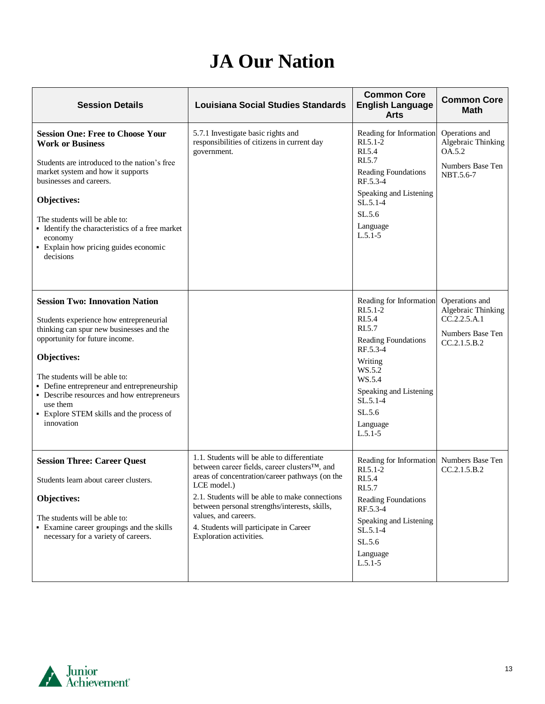# **JA Our Nation**

| <b>Session Details</b>                                                                                                                                                                                                                                                                                                                                                           | <b>Louisiana Social Studies Standards</b>                                                                                                                                                                                                                                                                                                                    | <b>Common Core</b><br><b>English Language</b><br><b>Arts</b>                                                                                                                                           | <b>Common Core</b><br>Math                                                               |
|----------------------------------------------------------------------------------------------------------------------------------------------------------------------------------------------------------------------------------------------------------------------------------------------------------------------------------------------------------------------------------|--------------------------------------------------------------------------------------------------------------------------------------------------------------------------------------------------------------------------------------------------------------------------------------------------------------------------------------------------------------|--------------------------------------------------------------------------------------------------------------------------------------------------------------------------------------------------------|------------------------------------------------------------------------------------------|
| <b>Session One: Free to Choose Your</b><br><b>Work or Business</b><br>Students are introduced to the nation's free<br>market system and how it supports<br>businesses and careers.<br>Objectives:<br>The students will be able to:<br>• Identify the characteristics of a free market<br>economy<br>• Explain how pricing guides economic<br>decisions                           | 5.7.1 Investigate basic rights and<br>responsibilities of citizens in current day<br>government.                                                                                                                                                                                                                                                             | Reading for Information<br>$RI.5.1-2$<br>RI.5.4<br>RI.5.7<br>Reading Foundations<br>RF.5.3-4<br>Speaking and Listening<br>$SL.5.1-4$<br>SL.5.6<br>Language<br>$L.5.1-5$                                | Operations and<br>Algebraic Thinking<br>OA.5.2<br>Numbers Base Ten<br>NBT.5.6-7          |
| <b>Session Two: Innovation Nation</b><br>Students experience how entrepreneurial<br>thinking can spur new businesses and the<br>opportunity for future income.<br>Objectives:<br>The students will be able to:<br>• Define entrepreneur and entrepreneurship<br>• Describe resources and how entrepreneurs<br>use them<br>• Explore STEM skills and the process of<br>innovation |                                                                                                                                                                                                                                                                                                                                                              | Reading for Information<br>$RI.5.1-2$<br>RI.5.4<br>RI.5.7<br>Reading Foundations<br>RF.5.3-4<br>Writing<br>WS.5.2<br>WS.5.4<br>Speaking and Listening<br>$SL.5.1-4$<br>SL.5.6<br>Language<br>$L.5.1-5$ | Operations and<br>Algebraic Thinking<br>CC.2.2.5.A.1<br>Numbers Base Ten<br>CC.2.1.5.B.2 |
| <b>Session Three: Career Quest</b><br>Students learn about career clusters.<br>Objectives:<br>The students will be able to:<br>• Examine career groupings and the skills<br>necessary for a variety of careers.                                                                                                                                                                  | 1.1. Students will be able to differentiate<br>between career fields, career clusters™, and<br>areas of concentration/career pathways (on the<br>LCE model.)<br>2.1. Students will be able to make connections<br>between personal strengths/interests, skills,<br>values, and careers.<br>4. Students will participate in Career<br>Exploration activities. | Reading for Information Numbers Base Ten<br>RI.5.1-2<br>RI.5.4<br>RI.5.7<br><b>Reading Foundations</b><br>RF.5.3-4<br>Speaking and Listening<br>$SL.5.1-4$<br>SL.5.6<br>Language<br>$L.5.1-5$          | CC.2.1.5.B.2                                                                             |

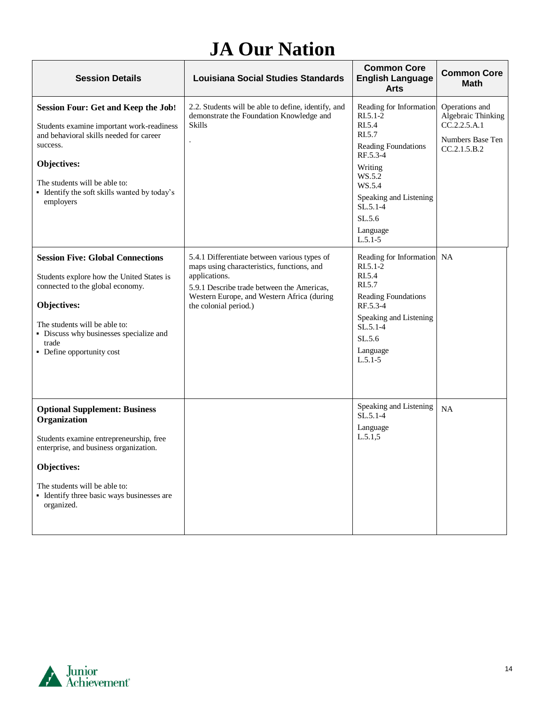# **JA Our Nation**

| <b>Session Details</b>                                                                                                                                                                                                                                      | <b>Louisiana Social Studies Standards</b>                                                                                                                                                                                        | <b>Common Core</b><br><b>English Language</b><br><b>Arts</b>                                                                                                                                             | <b>Common Core</b><br><b>Math</b>                                                        |
|-------------------------------------------------------------------------------------------------------------------------------------------------------------------------------------------------------------------------------------------------------------|----------------------------------------------------------------------------------------------------------------------------------------------------------------------------------------------------------------------------------|----------------------------------------------------------------------------------------------------------------------------------------------------------------------------------------------------------|------------------------------------------------------------------------------------------|
| <b>Session Four: Get and Keep the Job!</b><br>Students examine important work-readiness<br>and behavioral skills needed for career<br>success.<br>Objectives:<br>The students will be able to:<br>• Identify the soft skills wanted by today's<br>employers | 2.2. Students will be able to define, identify, and<br>demonstrate the Foundation Knowledge and<br>Skills                                                                                                                        | Reading for Information<br>$RI.5.1-2$<br>RI.5.4<br>RI.5.7<br>Reading Foundations<br>RF.5.3-4<br>Writing<br>WS.5.2<br>WS.5.4<br>Speaking and Listening<br>$SL.5.1-4$<br>SL.5.6<br>Language<br>$L.5.1 - 5$ | Operations and<br>Algebraic Thinking<br>CC.2.2.5.A.1<br>Numbers Base Ten<br>CC.2.1.5.B.2 |
| <b>Session Five: Global Connections</b><br>Students explore how the United States is<br>connected to the global economy.<br>Objectives:<br>The students will be able to:<br>• Discuss why businesses specialize and<br>trade<br>• Define opportunity cost   | 5.4.1 Differentiate between various types of<br>maps using characteristics, functions, and<br>applications.<br>5.9.1 Describe trade between the Americas,<br>Western Europe, and Western Africa (during<br>the colonial period.) | Reading for Information NA<br>RI.5.1-2<br>RI.5.4<br>RI.5.7<br>Reading Foundations<br>RF.5.3-4<br>Speaking and Listening<br>$SL.5.1-4$<br>SL.5.6<br>Language<br>$L.5.1-5$                                 |                                                                                          |
| <b>Optional Supplement: Business</b><br>Organization<br>Students examine entrepreneurship, free<br>enterprise, and business organization.<br>Objectives:<br>The students will be able to:<br>• Identify three basic ways businesses are<br>organized.       |                                                                                                                                                                                                                                  | Speaking and Listening<br>$SL.5.1-4$<br>Language<br>L.5.1,5                                                                                                                                              | <b>NA</b>                                                                                |

<span id="page-13-0"></span>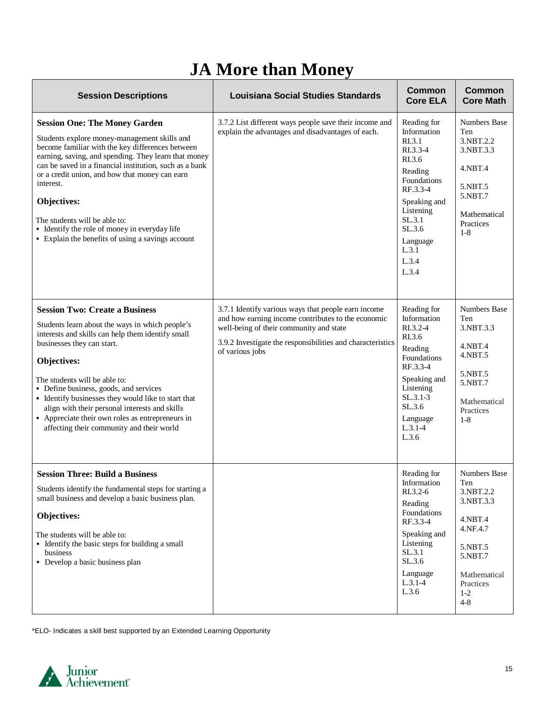## **JA More than Money**

<span id="page-14-0"></span>

| <b>Session Descriptions</b>                                                                                                                                                                                                                                                                                                                                                                                                                                                      | <b>Louisiana Social Studies Standards</b>                                                                                                                                                                                             | <b>Common</b><br><b>Core ELA</b>                                                                                                                                                        | Common<br><b>Core Math</b>                                                                                                                         |
|----------------------------------------------------------------------------------------------------------------------------------------------------------------------------------------------------------------------------------------------------------------------------------------------------------------------------------------------------------------------------------------------------------------------------------------------------------------------------------|---------------------------------------------------------------------------------------------------------------------------------------------------------------------------------------------------------------------------------------|-----------------------------------------------------------------------------------------------------------------------------------------------------------------------------------------|----------------------------------------------------------------------------------------------------------------------------------------------------|
| <b>Session One: The Money Garden</b><br>Students explore money-management skills and<br>become familiar with the key differences between<br>earning, saving, and spending. They learn that money<br>can be saved in a financial institution, such as a bank<br>or a credit union, and how that money can earn<br>interest.<br>Objectives:<br>The students will be able to:<br>• Identify the role of money in everyday life<br>• Explain the benefits of using a savings account | 3.7.2 List different ways people save their income and<br>explain the advantages and disadvantages of each.                                                                                                                           | Reading for<br>Information<br>RL3.1<br>RI.3.3-4<br>RI.3.6<br>Reading<br>Foundations<br>RF.3.3-4<br>Speaking and<br>Listening<br>SL.3.1<br>SL.3.6<br>Language<br>L.3.1<br>L.3.4<br>L.3.4 | <b>Numbers Base</b><br>Ten<br>3.NBT.2.2<br>3.NBT.3.3<br>4.NBT.4<br>5.NBT.5<br>5.NBT.7<br>Mathematical<br>Practices<br>$1-8$                        |
| <b>Session Two: Create a Business</b><br>Students learn about the ways in which people's<br>interests and skills can help them identify small<br>businesses they can start.<br>Objectives:<br>The students will be able to:<br>• Define business, goods, and services<br>• Identify businesses they would like to start that<br>align with their personal interests and skills<br>• Appreciate their own roles as entrepreneurs in<br>affecting their community and their world  | 3.7.1 Identify various ways that people earn income<br>and how earning income contributes to the economic<br>well-being of their community and state<br>3.9.2 Investigate the responsibilities and characteristics<br>of various jobs | Reading for<br>Information<br>RI.3.2-4<br>RI.3.6<br>Reading<br>Foundations<br>RF.3.3-4<br>Speaking and<br>Listening<br>$SL.3.1-3$<br>SL.3.6<br>Language<br>$L.3.1-4$<br>L.3.6           | <b>Numbers Base</b><br>Ten<br>3.NBT.3.3<br>$4.$ NBT $.4$<br>4.NBT.5<br>5.NBT.5<br>5.NBT.7<br>Mathematical<br>Practices<br>$1-8$                    |
| <b>Session Three: Build a Business</b><br>Students identify the fundamental steps for starting a<br>small business and develop a basic business plan.<br>Objectives:<br>The students will be able to:<br>• Identify the basic steps for building a small<br>business<br>• Develop a basic business plan                                                                                                                                                                          |                                                                                                                                                                                                                                       | Reading for<br>Information<br>RI.3.2-6<br>Reading<br>Foundations<br>RF.3.3-4<br>Speaking and<br>Listening<br>SL.3.1<br>SL.3.6<br>Language<br>$L.3.1-4$<br>L.3.6                         | <b>Numbers Base</b><br>Ten<br>3.NBT.2.2<br>3.NBT.3.3<br>4.NBT.4<br>4.NF.4.7<br>5.NBT.5<br>5.NBT.7<br>Mathematical<br>Practices<br>$1-2$<br>$4 - 8$ |

\*ELO- Indicates a skill best supported by an Extended Learning Opportunity